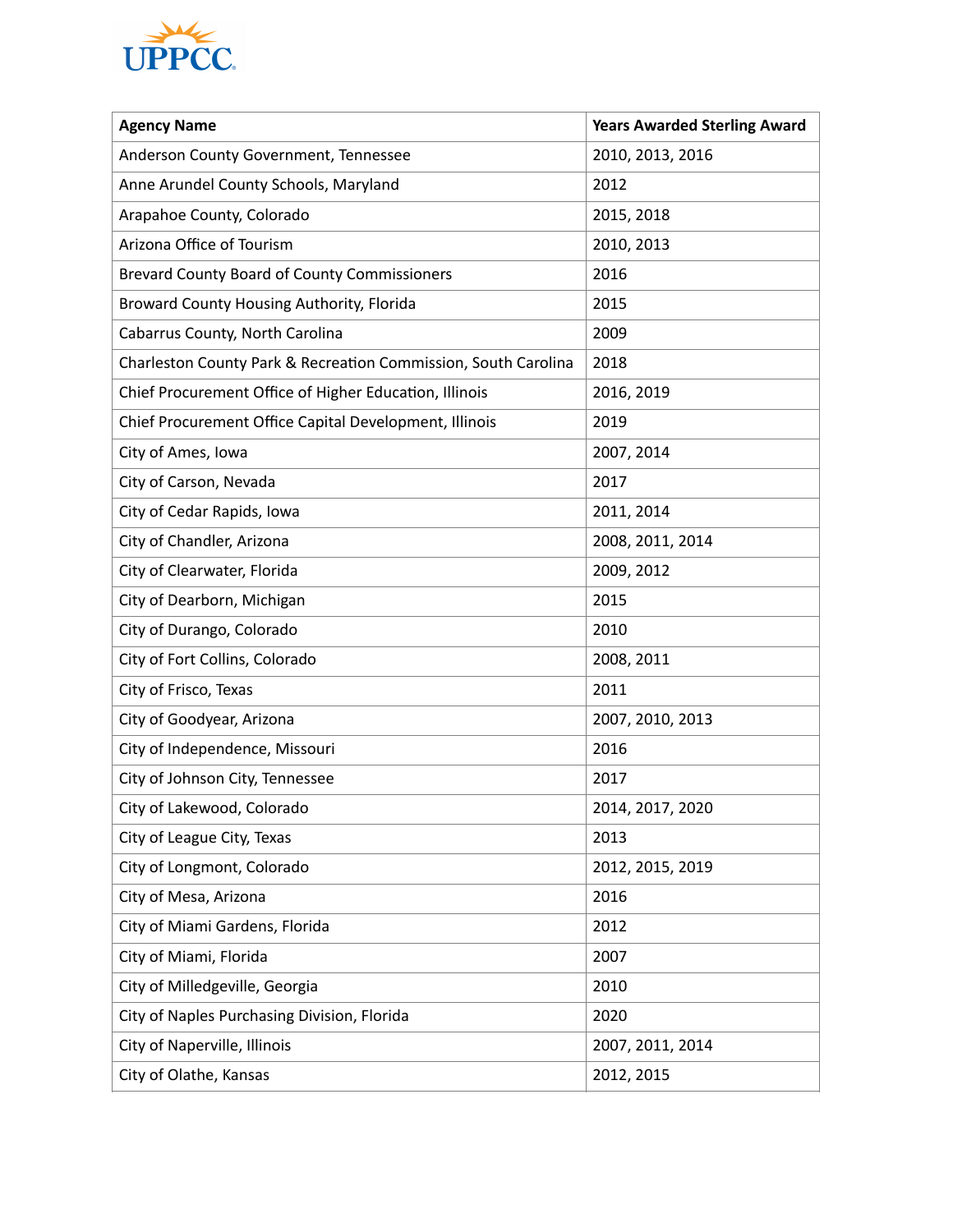

| <b>Agency Name</b>                                             | <b>Years Awarded Sterling Award</b> |
|----------------------------------------------------------------|-------------------------------------|
| Anderson County Government, Tennessee                          | 2010, 2013, 2016                    |
| Anne Arundel County Schools, Maryland                          | 2012                                |
| Arapahoe County, Colorado                                      | 2015, 2018                          |
| Arizona Office of Tourism                                      | 2010, 2013                          |
| Brevard County Board of County Commissioners                   | 2016                                |
| Broward County Housing Authority, Florida                      | 2015                                |
| Cabarrus County, North Carolina                                | 2009                                |
| Charleston County Park & Recreation Commission, South Carolina | 2018                                |
| Chief Procurement Office of Higher Education, Illinois         | 2016, 2019                          |
| Chief Procurement Office Capital Development, Illinois         | 2019                                |
| City of Ames, Iowa                                             | 2007, 2014                          |
| City of Carson, Nevada                                         | 2017                                |
| City of Cedar Rapids, Iowa                                     | 2011, 2014                          |
| City of Chandler, Arizona                                      | 2008, 2011, 2014                    |
| City of Clearwater, Florida                                    | 2009, 2012                          |
| City of Dearborn, Michigan                                     | 2015                                |
| City of Durango, Colorado                                      | 2010                                |
| City of Fort Collins, Colorado                                 | 2008, 2011                          |
| City of Frisco, Texas                                          | 2011                                |
| City of Goodyear, Arizona                                      | 2007, 2010, 2013                    |
| City of Independence, Missouri                                 | 2016                                |
| City of Johnson City, Tennessee                                | 2017                                |
| City of Lakewood, Colorado                                     | 2014, 2017, 2020                    |
| City of League City, Texas                                     | 2013                                |
| City of Longmont, Colorado                                     | 2012, 2015, 2019                    |
| City of Mesa, Arizona                                          | 2016                                |
| City of Miami Gardens, Florida                                 | 2012                                |
| City of Miami, Florida                                         | 2007                                |
| City of Milledgeville, Georgia                                 | 2010                                |
| City of Naples Purchasing Division, Florida                    | 2020                                |
| City of Naperville, Illinois                                   | 2007, 2011, 2014                    |
| City of Olathe, Kansas                                         | 2012, 2015                          |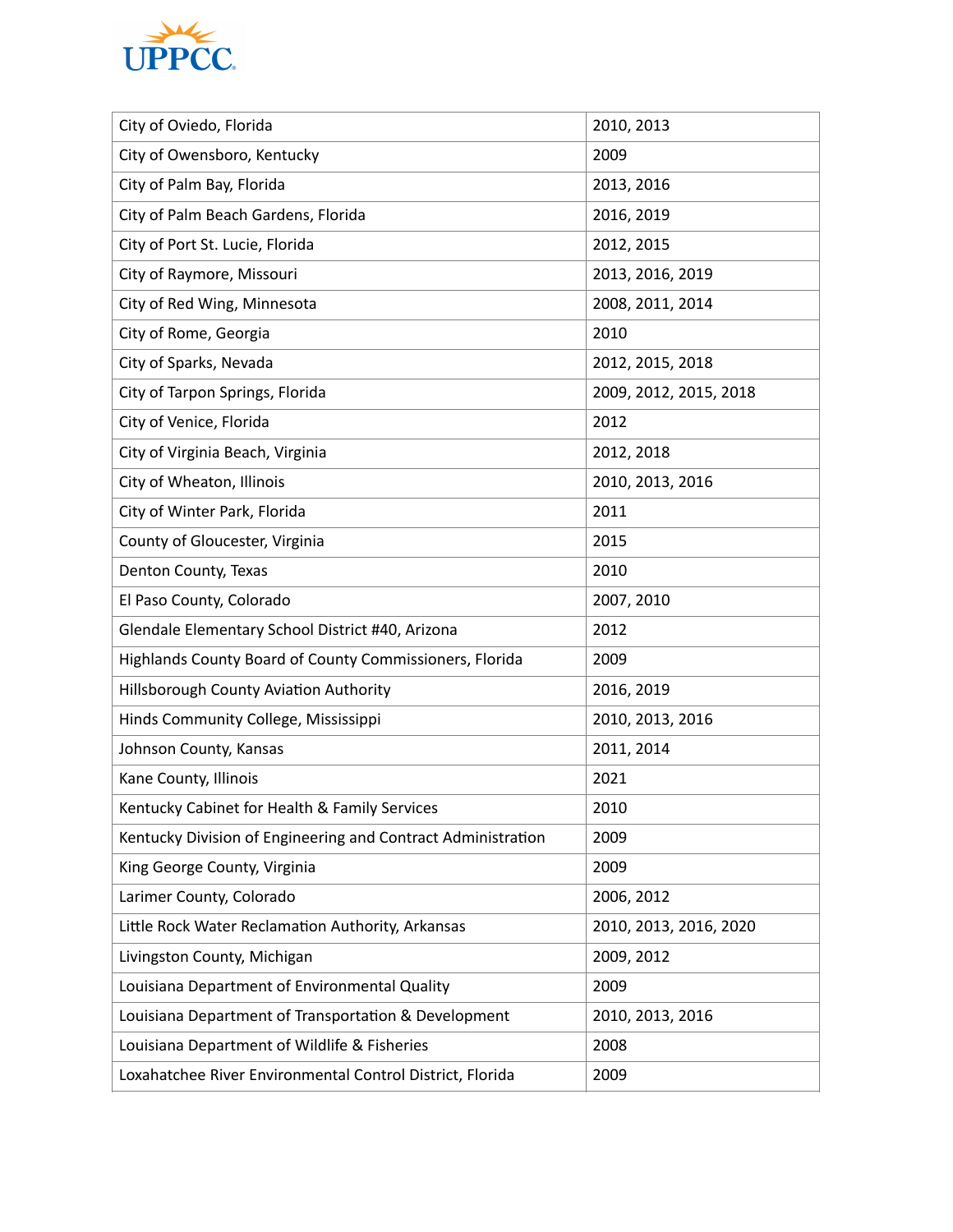

| City of Oviedo, Florida                                      | 2010, 2013             |
|--------------------------------------------------------------|------------------------|
| City of Owensboro, Kentucky                                  | 2009                   |
| City of Palm Bay, Florida                                    | 2013, 2016             |
| City of Palm Beach Gardens, Florida                          | 2016, 2019             |
| City of Port St. Lucie, Florida                              | 2012, 2015             |
| City of Raymore, Missouri                                    | 2013, 2016, 2019       |
| City of Red Wing, Minnesota                                  | 2008, 2011, 2014       |
| City of Rome, Georgia                                        | 2010                   |
| City of Sparks, Nevada                                       | 2012, 2015, 2018       |
| City of Tarpon Springs, Florida                              | 2009, 2012, 2015, 2018 |
| City of Venice, Florida                                      | 2012                   |
| City of Virginia Beach, Virginia                             | 2012, 2018             |
| City of Wheaton, Illinois                                    | 2010, 2013, 2016       |
| City of Winter Park, Florida                                 | 2011                   |
| County of Gloucester, Virginia                               | 2015                   |
| Denton County, Texas                                         | 2010                   |
| El Paso County, Colorado                                     | 2007, 2010             |
| Glendale Elementary School District #40, Arizona             | 2012                   |
| Highlands County Board of County Commissioners, Florida      | 2009                   |
| Hillsborough County Aviation Authority                       | 2016, 2019             |
| Hinds Community College, Mississippi                         | 2010, 2013, 2016       |
| Johnson County, Kansas                                       | 2011, 2014             |
| Kane County, Illinois                                        | 2021                   |
| Kentucky Cabinet for Health & Family Services                | 2010                   |
| Kentucky Division of Engineering and Contract Administration | 2009                   |
| King George County, Virginia                                 | 2009                   |
| Larimer County, Colorado                                     | 2006, 2012             |
| Little Rock Water Reclamation Authority, Arkansas            | 2010, 2013, 2016, 2020 |
| Livingston County, Michigan                                  | 2009, 2012             |
| Louisiana Department of Environmental Quality                | 2009                   |
| Louisiana Department of Transportation & Development         | 2010, 2013, 2016       |
| Louisiana Department of Wildlife & Fisheries                 | 2008                   |
| Loxahatchee River Environmental Control District, Florida    | 2009                   |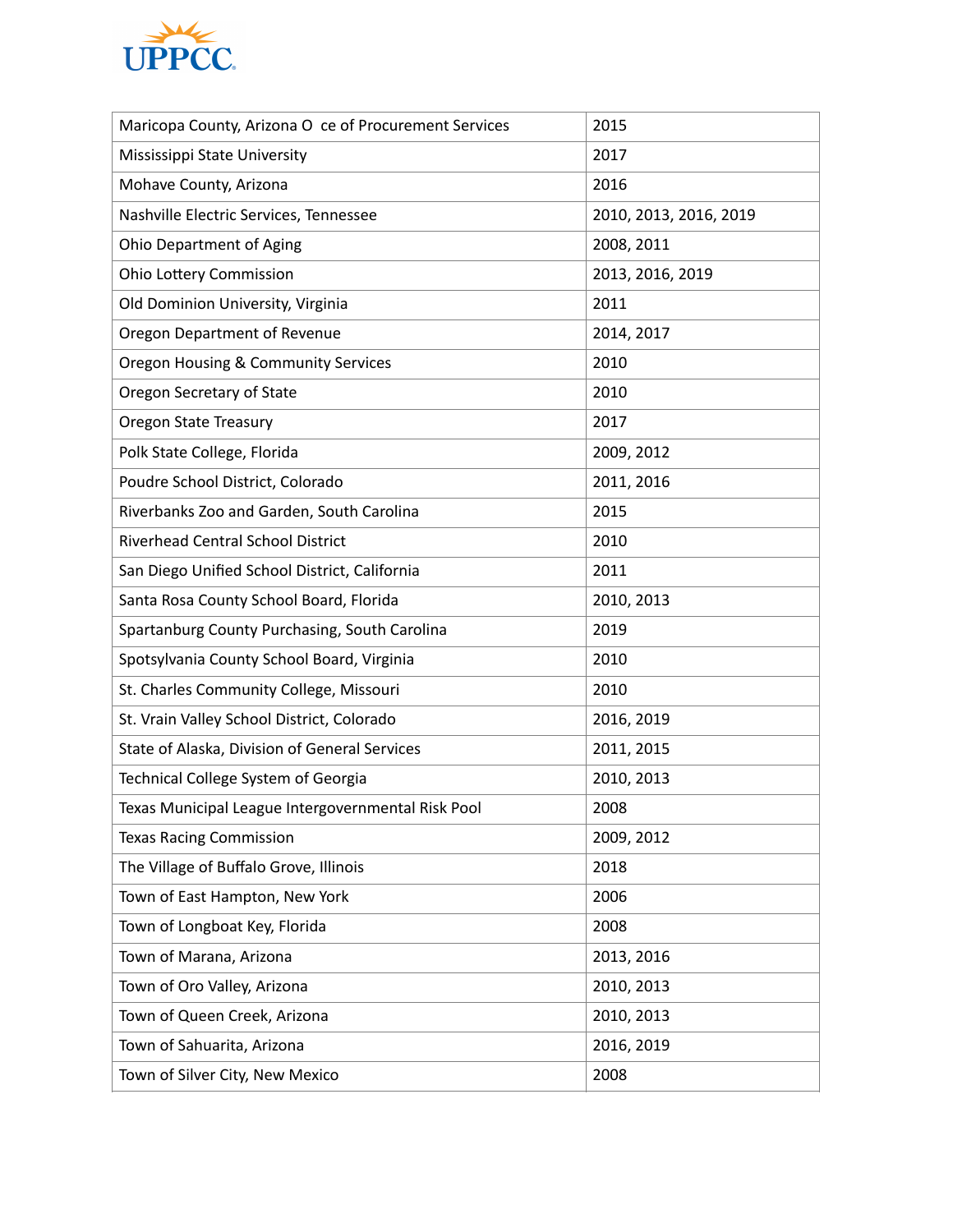

| Maricopa County, Arizona O ce of Procurement Services | 2015                   |
|-------------------------------------------------------|------------------------|
| Mississippi State University                          | 2017                   |
| Mohave County, Arizona                                | 2016                   |
| Nashville Electric Services, Tennessee                | 2010, 2013, 2016, 2019 |
| Ohio Department of Aging                              | 2008, 2011             |
| <b>Ohio Lottery Commission</b>                        | 2013, 2016, 2019       |
| Old Dominion University, Virginia                     | 2011                   |
| Oregon Department of Revenue                          | 2014, 2017             |
| Oregon Housing & Community Services                   | 2010                   |
| Oregon Secretary of State                             | 2010                   |
| <b>Oregon State Treasury</b>                          | 2017                   |
| Polk State College, Florida                           | 2009, 2012             |
| Poudre School District, Colorado                      | 2011, 2016             |
| Riverbanks Zoo and Garden, South Carolina             | 2015                   |
| <b>Riverhead Central School District</b>              | 2010                   |
| San Diego Unified School District, California         | 2011                   |
| Santa Rosa County School Board, Florida               | 2010, 2013             |
| Spartanburg County Purchasing, South Carolina         | 2019                   |
| Spotsylvania County School Board, Virginia            | 2010                   |
| St. Charles Community College, Missouri               | 2010                   |
| St. Vrain Valley School District, Colorado            | 2016, 2019             |
| State of Alaska, Division of General Services         | 2011, 2015             |
| Technical College System of Georgia                   | 2010, 2013             |
| Texas Municipal League Intergovernmental Risk Pool    | 2008                   |
| <b>Texas Racing Commission</b>                        | 2009, 2012             |
| The Village of Buffalo Grove, Illinois                | 2018                   |
| Town of East Hampton, New York                        | 2006                   |
| Town of Longboat Key, Florida                         | 2008                   |
| Town of Marana, Arizona                               | 2013, 2016             |
| Town of Oro Valley, Arizona                           | 2010, 2013             |
| Town of Queen Creek, Arizona                          | 2010, 2013             |
| Town of Sahuarita, Arizona                            | 2016, 2019             |
| Town of Silver City, New Mexico                       | 2008                   |